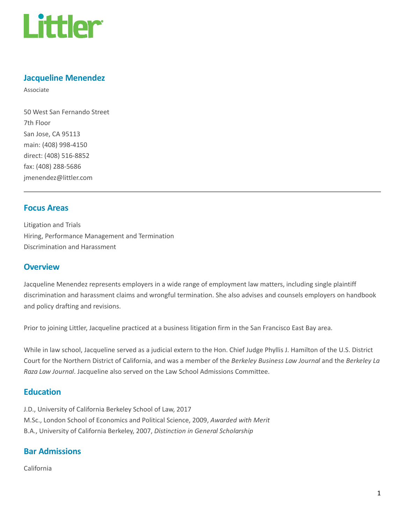

### Jacqueline Menendez

Associate

50 West San Fernando Street 7th Floor San Jose, CA 95113 main: (408) 998-4150 direct: (408) 516-8852 fax: (408) 288-5686 jmenendez@littler.com

#### Focus Areas

Litigation and Trials Hiring, Performance Management and Termination Discrimination and Harassment

#### **Overview**

Jacqueline Menendez represents employers in a wide range of employment law matters, including single plaintiff discrimination and harassment claims and wrongful termination. She also advises and counsels employers on handbook and policy drafting and revisions.

Prior to joining Littler, Jacqueline practiced at a business litigation firm in the San Francisco East Bay area.

While in law school, Jacqueline served as a judicial extern to the Hon. Chief Judge Phyllis J. Hamilton of the U.S. District Court for the Northern District of California, and was a member of the Berkeley Business Law Journal and the Berkeley La Raza Law Journal. Jacqueline also served on the Law School Admissions Committee.

#### **Education**

J.D., University of California Berkeley School of Law, 2017 M.Sc., London School of Economics and Political Science, 2009, Awarded with Merit B.A., University of California Berkeley, 2007, Distinction in General Scholarship

#### Bar Admissions

California